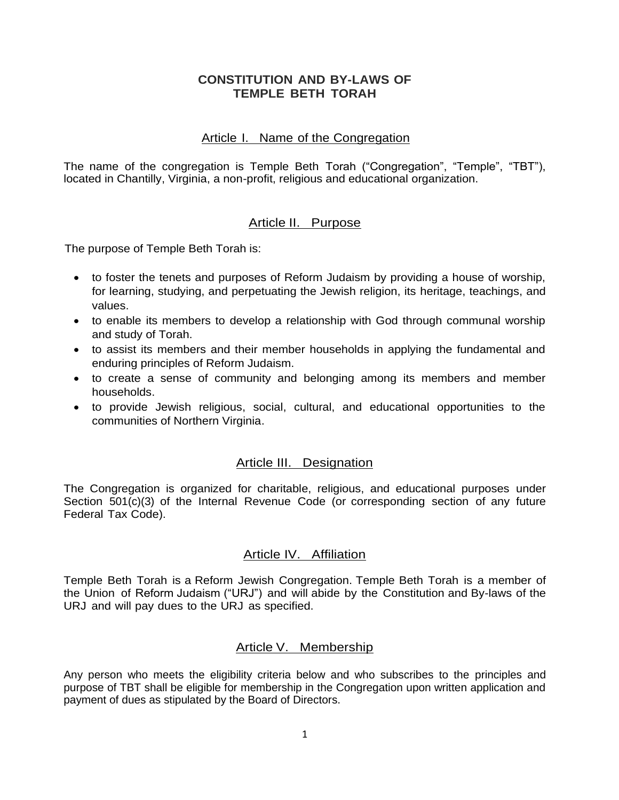## **CONSTITUTION AND BY-LAWS OF TEMPLE BETH TORAH**

## Article I. Name of the Congregation

The name of the congregation is Temple Beth Torah ("Congregation", "Temple", "TBT"), located in Chantilly, Virginia, a non-profit, religious and educational organization.

## Article II. Purpose

The purpose of Temple Beth Torah is:

- to foster the tenets and purposes of Reform Judaism by providing a house of worship, for learning, studying, and perpetuating the Jewish religion, its heritage, teachings, and values.
- to enable its members to develop a relationship with God through communal worship and study of Torah.
- to assist its members and their member households in applying the fundamental and enduring principles of Reform Judaism.
- to create a sense of community and belonging among its members and member households.
- to provide Jewish religious, social, cultural, and educational opportunities to the communities of Northern Virginia.

### Article III. Designation

The Congregation is organized for charitable, religious, and educational purposes under Section 501(c)(3) of the Internal Revenue Code (or corresponding section of any future Federal Tax Code).

# Article IV. Affiliation

Temple Beth Torah is a Reform Jewish Congregation. Temple Beth Torah is a member of the Union of Reform Judaism ("URJ") and will abide by the Constitution and By-laws of the URJ and will pay dues to the URJ as specified.

### Article V. Membership

Any person who meets the eligibility criteria below and who subscribes to the principles and purpose of TBT shall be eligible for membership in the Congregation upon written application and payment of dues as stipulated by the Board of Directors.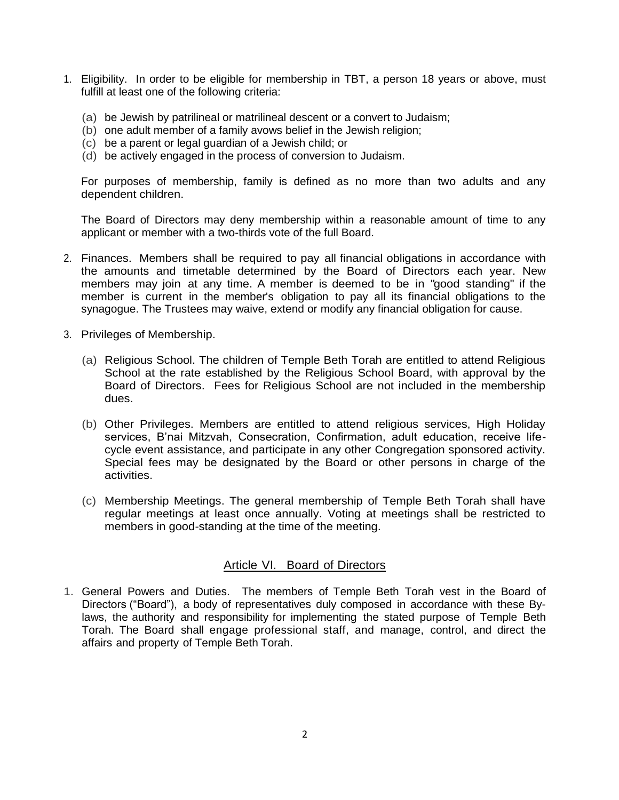- 1. Eligibility. In order to be eligible for membership in TBT, a person 18 years or above, must fulfill at least one of the following criteria:
	- (a) be Jewish by patrilineal or matrilineal descent or a convert to Judaism;
	- (b) one adult member of a family avows belief in the Jewish religion;
	- (c) be a parent or legal guardian of a Jewish child; or
	- (d) be actively engaged in the process of conversion to Judaism.

For purposes of membership, family is defined as no more than two adults and any dependent children.

The Board of Directors may deny membership within a reasonable amount of time to any applicant or member with a two-thirds vote of the full Board.

- 2. Finances. Members shall be required to pay all financial obligations in accordance with the amounts and timetable determined by the Board of Directors each year. New members may join at any time. A member is deemed to be in "good standing" if the member is current in the member's obligation to pay all its financial obligations to the synagogue. The Trustees may waive, extend or modify any financial obligation for cause.
- 3. Privileges of Membership.
	- (a) Religious School. The children of Temple Beth Torah are entitled to attend Religious School at the rate established by the Religious School Board, with approval by the Board of Directors. Fees for Religious School are not included in the membership dues.
	- (b) Other Privileges. Members are entitled to attend religious services, High Holiday services, B'nai Mitzvah, Consecration, Confirmation, adult education, receive lifecycle event assistance, and participate in any other Congregation sponsored activity. Special fees may be designated by the Board or other persons in charge of the activities.
	- (c) Membership Meetings. The general membership of Temple Beth Torah shall have regular meetings at least once annually. Voting at meetings shall be restricted to members in good-standing at the time of the meeting.

### Article VI. Board of Directors

1. General Powers and Duties. The members of Temple Beth Torah vest in the Board of Directors ("Board"), a body of representatives duly composed in accordance with these Bylaws, the authority and responsibility for implementing the stated purpose of Temple Beth Torah. The Board shall engage professional staff, and manage, control, and direct the affairs and property of Temple Beth Torah.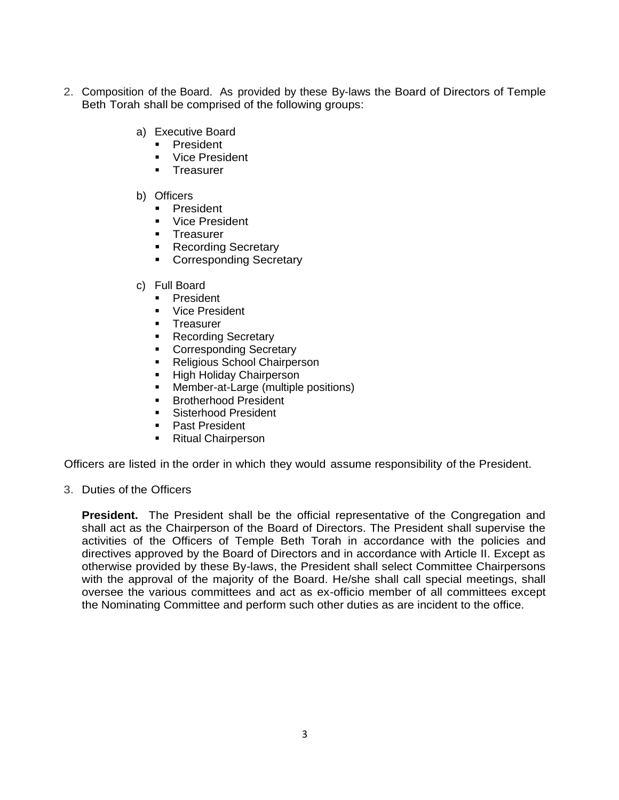- 2. Composition of the Board. As provided by these By-laws the Board of Directors of Temple Beth Torah shall be comprised of the following groups:
	- a) Executive Board
		- **President**
		- **Vice President**
		- **Treasurer**
	- b) Officers
		- **President**
		- **Vice President**
		- **Treasurer**
		- **Recording Secretary**
		- **Corresponding Secretary**
	- c) Full Board
		- **President**
		- **Vice President**
		- **Treasurer**
		- **Recording Secretary**
		- **Corresponding Secretary**
		- **Religious School Chairperson**
		- **High Holiday Chairperson**
		- **Member-at-Large (multiple positions)**
		- **Brotherhood President**
		- **Sisterhood President**
		- **Past President**
		- **Ritual Chairperson**

Officers are listed in the order in which they would assume responsibility of the President.

3. Duties of the Officers

**President.** The President shall be the official representative of the Congregation and shall act as the Chairperson of the Board of Directors. The President shall supervise the activities of the Officers of Temple Beth Torah in accordance with the policies and directives approved by the Board of Directors and in accordance with Article II. Except as otherwise provided by these By-laws, the President shall select Committee Chairpersons with the approval of the majority of the Board. He/she shall call special meetings, shall oversee the various committees and act as ex-officio member of all committees except the Nominating Committee and perform such other duties as are incident to the office.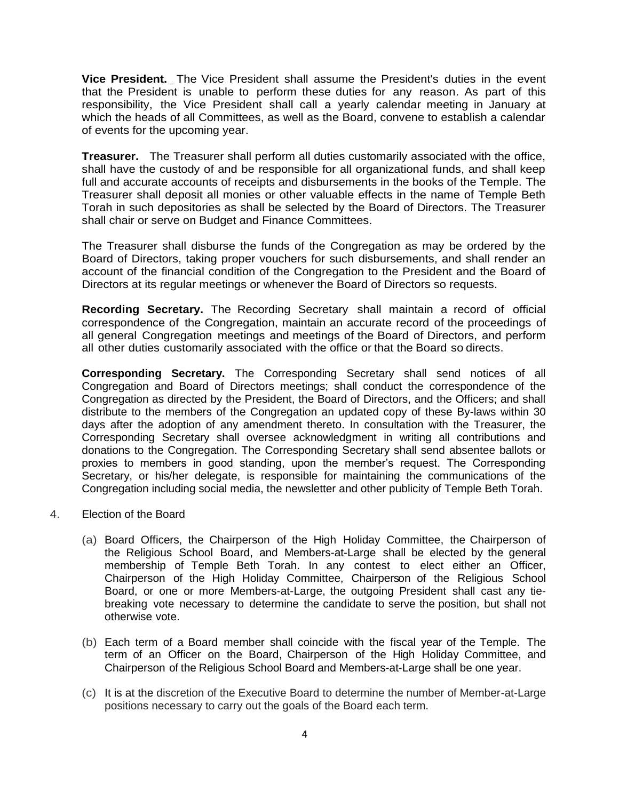**Vice President.** The Vice President shall assume the President's duties in the event that the President is unable to perform these duties for any reason. As part of this responsibility, the Vice President shall call a yearly calendar meeting in January at which the heads of all Committees, as well as the Board, convene to establish a calendar of events for the upcoming year.

**Treasurer.** The Treasurer shall perform all duties customarily associated with the office, shall have the custody of and be responsible for all organizational funds, and shall keep full and accurate accounts of receipts and disbursements in the books of the Temple. The Treasurer shall deposit all monies or other valuable effects in the name of Temple Beth Torah in such depositories as shall be selected by the Board of Directors. The Treasurer shall chair or serve on Budget and Finance Committees.

The Treasurer shall disburse the funds of the Congregation as may be ordered by the Board of Directors, taking proper vouchers for such disbursements, and shall render an account of the financial condition of the Congregation to the President and the Board of Directors at its regular meetings or whenever the Board of Directors so requests.

**Recording Secretary.** The Recording Secretary shall maintain a record of official correspondence of the Congregation, maintain an accurate record of the proceedings of all general Congregation meetings and meetings of the Board of Directors, and perform all other duties customarily associated with the office or that the Board so directs.

**Corresponding Secretary.** The Corresponding Secretary shall send notices of all Congregation and Board of Directors meetings; shall conduct the correspondence of the Congregation as directed by the President, the Board of Directors, and the Officers; and shall distribute to the members of the Congregation an updated copy of these By-laws within 30 days after the adoption of any amendment thereto. In consultation with the Treasurer, the Corresponding Secretary shall oversee acknowledgment in writing all contributions and donations to the Congregation. The Corresponding Secretary shall send absentee ballots or proxies to members in good standing, upon the member's request. The Corresponding Secretary, or his/her delegate, is responsible for maintaining the communications of the Congregation including social media, the newsletter and other publicity of Temple Beth Torah.

- 4. Election of the Board
	- (a) Board Officers, the Chairperson of the High Holiday Committee, the Chairperson of the Religious School Board, and Members-at-Large shall be elected by the general membership of Temple Beth Torah. In any contest to elect either an Officer, Chairperson of the High Holiday Committee, Chairperson of the Religious School Board, or one or more Members-at-Large, the outgoing President shall cast any tiebreaking vote necessary to determine the candidate to serve the position, but shall not otherwise vote.
	- (b) Each term of a Board member shall coincide with the fiscal year of the Temple. The term of an Officer on the Board, Chairperson of the High Holiday Committee, and Chairperson of the Religious School Board and Members-at-Large shall be one year.
	- (c) It is at the discretion of the Executive Board to determine the number of Member-at-Large positions necessary to carry out the goals of the Board each term.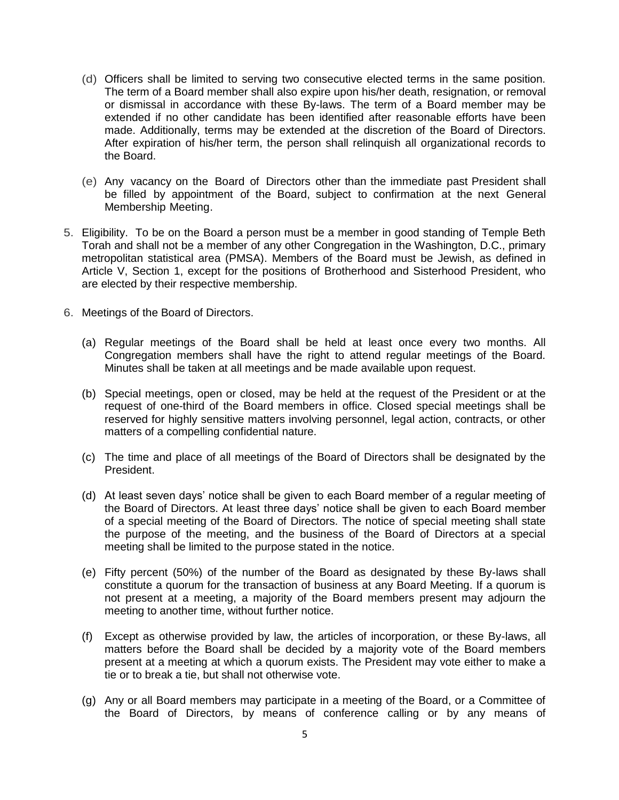- (d) Officers shall be limited to serving two consecutive elected terms in the same position. The term of a Board member shall also expire upon his/her death, resignation, or removal or dismissal in accordance with these By-laws. The term of a Board member may be extended if no other candidate has been identified after reasonable efforts have been made. Additionally, terms may be extended at the discretion of the Board of Directors. After expiration of his/her term, the person shall relinquish all organizational records to the Board.
- (e) Any vacancy on the Board of Directors other than the immediate past President shall be filled by appointment of the Board, subject to confirmation at the next General Membership Meeting.
- 5. Eligibility. To be on the Board a person must be a member in good standing of Temple Beth Torah and shall not be a member of any other Congregation in the Washington, D.C., primary metropolitan statistical area (PMSA). Members of the Board must be Jewish, as defined in Article V, Section 1, except for the positions of Brotherhood and Sisterhood President, who are elected by their respective membership.
- 6. Meetings of the Board of Directors.
	- (a) Regular meetings of the Board shall be held at least once every two months. All Congregation members shall have the right to attend regular meetings of the Board. Minutes shall be taken at all meetings and be made available upon request.
	- (b) Special meetings, open or closed, may be held at the request of the President or at the request of one-third of the Board members in office. Closed special meetings shall be reserved for highly sensitive matters involving personnel, legal action, contracts, or other matters of a compelling confidential nature.
	- (c) The time and place of all meetings of the Board of Directors shall be designated by the President.
	- (d) At least seven days' notice shall be given to each Board member of a regular meeting of the Board of Directors. At least three days' notice shall be given to each Board member of a special meeting of the Board of Directors. The notice of special meeting shall state the purpose of the meeting, and the business of the Board of Directors at a special meeting shall be limited to the purpose stated in the notice.
	- (e) Fifty percent (50%) of the number of the Board as designated by these By-laws shall constitute a quorum for the transaction of business at any Board Meeting. If a quorum is not present at a meeting, a majority of the Board members present may adjourn the meeting to another time, without further notice.
	- (f) Except as otherwise provided by law, the articles of incorporation, or these By-laws, all matters before the Board shall be decided by a majority vote of the Board members present at a meeting at which a quorum exists. The President may vote either to make a tie or to break a tie, but shall not otherwise vote.
	- (g) Any or all Board members may participate in a meeting of the Board, or a Committee of the Board of Directors, by means of conference calling or by any means of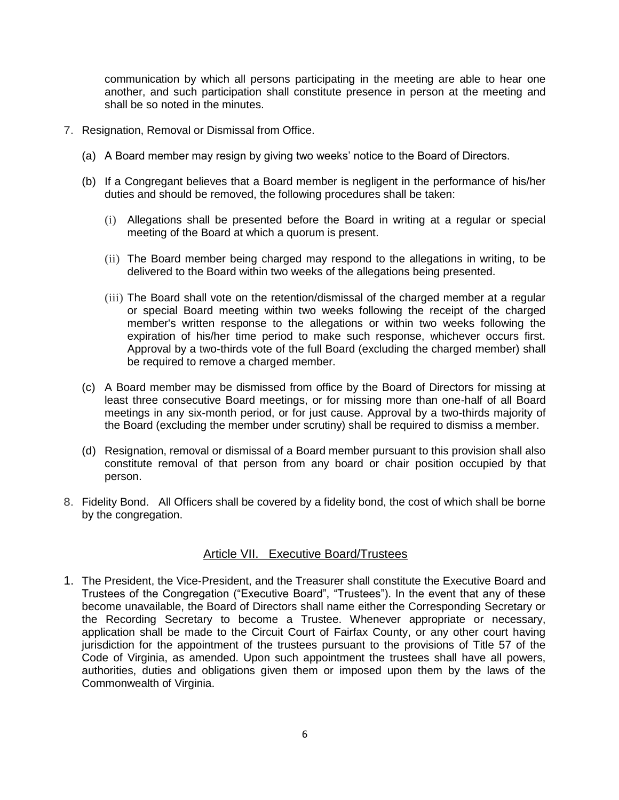communication by which all persons participating in the meeting are able to hear one another, and such participation shall constitute presence in person at the meeting and shall be so noted in the minutes.

- 7. Resignation, Removal or Dismissal from Office.
	- (a) A Board member may resign by giving two weeks' notice to the Board of Directors.
	- (b) If a Congregant believes that a Board member is negligent in the performance of his/her duties and should be removed, the following procedures shall be taken:
		- (i) Allegations shall be presented before the Board in writing at a regular or special meeting of the Board at which a quorum is present.
		- (ii) The Board member being charged may respond to the allegations in writing, to be delivered to the Board within two weeks of the allegations being presented.
		- (iii) The Board shall vote on the retention/dismissal of the charged member at a regular or special Board meeting within two weeks following the receipt of the charged member's written response to the allegations or within two weeks following the expiration of his/her time period to make such response, whichever occurs first. Approval by a two-thirds vote of the full Board (excluding the charged member) shall be required to remove a charged member.
	- (c) A Board member may be dismissed from office by the Board of Directors for missing at least three consecutive Board meetings, or for missing more than one-half of all Board meetings in any six-month period, or for just cause. Approval by a two-thirds majority of the Board (excluding the member under scrutiny) shall be required to dismiss a member.
	- (d) Resignation, removal or dismissal of a Board member pursuant to this provision shall also constitute removal of that person from any board or chair position occupied by that person.
- 8. Fidelity Bond. All Officers shall be covered by a fidelity bond, the cost of which shall be borne by the congregation.

### Article VII. Executive Board/Trustees

1. The President, the Vice-President, and the Treasurer shall constitute the Executive Board and Trustees of the Congregation ("Executive Board", "Trustees"). In the event that any of these become unavailable, the Board of Directors shall name either the Corresponding Secretary or the Recording Secretary to become a Trustee. Whenever appropriate or necessary, application shall be made to the Circuit Court of Fairfax County, or any other court having jurisdiction for the appointment of the trustees pursuant to the provisions of Title 57 of the Code of Virginia, as amended. Upon such appointment the trustees shall have all powers, authorities, duties and obligations given them or imposed upon them by the laws of the Commonwealth of Virginia.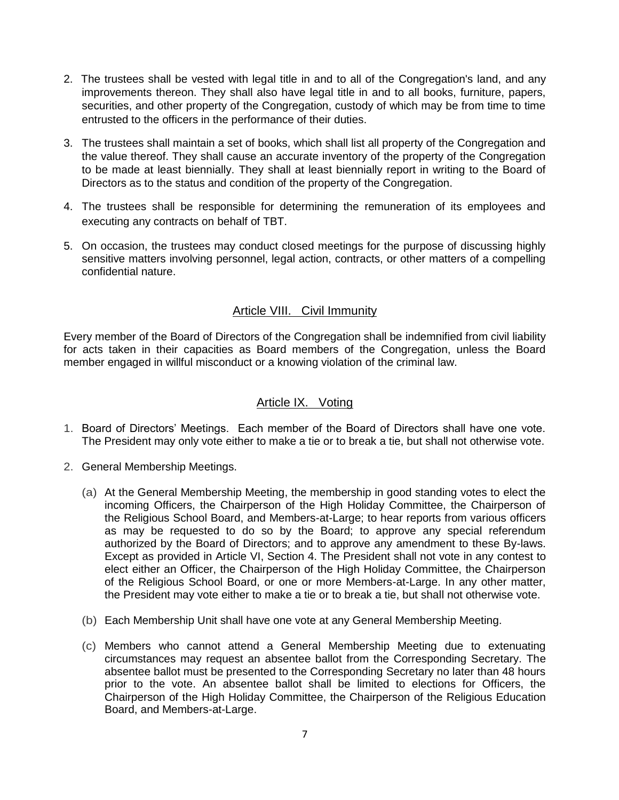- 2. The trustees shall be vested with legal title in and to all of the Congregation's land, and any improvements thereon. They shall also have legal title in and to all books, furniture, papers, securities, and other property of the Congregation, custody of which may be from time to time entrusted to the officers in the performance of their duties.
- 3. The trustees shall maintain a set of books, which shall list all property of the Congregation and the value thereof. They shall cause an accurate inventory of the property of the Congregation to be made at least biennially. They shall at least biennially report in writing to the Board of Directors as to the status and condition of the property of the Congregation.
- 4. The trustees shall be responsible for determining the remuneration of its employees and executing any contracts on behalf of TBT.
- 5. On occasion, the trustees may conduct closed meetings for the purpose of discussing highly sensitive matters involving personnel, legal action, contracts, or other matters of a compelling confidential nature.

### Article VIII. Civil Immunity

Every member of the Board of Directors of the Congregation shall be indemnified from civil liability for acts taken in their capacities as Board members of the Congregation, unless the Board member engaged in willful misconduct or a knowing violation of the criminal law.

#### Article IX. Voting

- 1. Board of Directors' Meetings. Each member of the Board of Directors shall have one vote. The President may only vote either to make a tie or to break a tie, but shall not otherwise vote.
- 2. General Membership Meetings.
	- (a) At the General Membership Meeting, the membership in good standing votes to elect the incoming Officers, the Chairperson of the High Holiday Committee, the Chairperson of the Religious School Board, and Members-at-Large; to hear reports from various officers as may be requested to do so by the Board; to approve any special referendum authorized by the Board of Directors; and to approve any amendment to these By-laws. Except as provided in Article VI, Section 4. The President shall not vote in any contest to elect either an Officer, the Chairperson of the High Holiday Committee, the Chairperson of the Religious School Board, or one or more Members-at-Large. In any other matter, the President may vote either to make a tie or to break a tie, but shall not otherwise vote.
	- (b) Each Membership Unit shall have one vote at any General Membership Meeting.
	- (c) Members who cannot attend a General Membership Meeting due to extenuating circumstances may request an absentee ballot from the Corresponding Secretary. The absentee ballot must be presented to the Corresponding Secretary no later than 48 hours prior to the vote. An absentee ballot shall be limited to elections for Officers, the Chairperson of the High Holiday Committee, the Chairperson of the Religious Education Board, and Members-at-Large.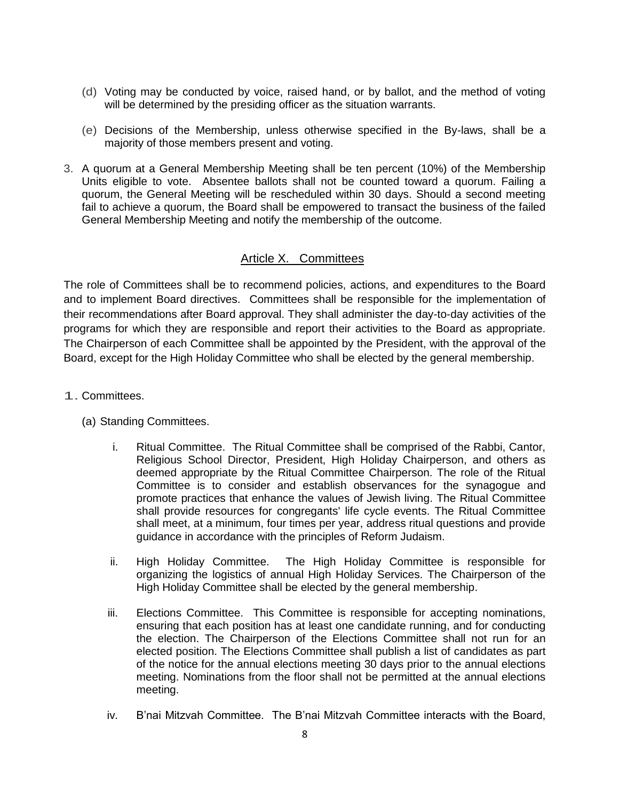- (d) Voting may be conducted by voice, raised hand, or by ballot, and the method of voting will be determined by the presiding officer as the situation warrants.
- (e) Decisions of the Membership, unless otherwise specified in the By-laws, shall be a majority of those members present and voting.
- 3. A quorum at a General Membership Meeting shall be ten percent (10%) of the Membership Units eligible to vote. Absentee ballots shall not be counted toward a quorum. Failing a quorum, the General Meeting will be rescheduled within 30 days. Should a second meeting fail to achieve a quorum, the Board shall be empowered to transact the business of the failed General Membership Meeting and notify the membership of the outcome.

## Article X. Committees

The role of Committees shall be to recommend policies, actions, and expenditures to the Board and to implement Board directives. Committees shall be responsible for the implementation of their recommendations after Board approval. They shall administer the day-to-day activities of the programs for which they are responsible and report their activities to the Board as appropriate. The Chairperson of each Committee shall be appointed by the President, with the approval of the Board, except for the High Holiday Committee who shall be elected by the general membership.

- 1. Committees.
	- (a) Standing Committees.
		- i. Ritual Committee. The Ritual Committee shall be comprised of the Rabbi, Cantor, Religious School Director, President, High Holiday Chairperson, and others as deemed appropriate by the Ritual Committee Chairperson. The role of the Ritual Committee is to consider and establish observances for the synagogue and promote practices that enhance the values of Jewish living. The Ritual Committee shall provide resources for congregants' life cycle events. The Ritual Committee shall meet, at a minimum, four times per year, address ritual questions and provide guidance in accordance with the principles of Reform Judaism.
		- ii. High Holiday Committee. The High Holiday Committee is responsible for organizing the logistics of annual High Holiday Services. The Chairperson of the High Holiday Committee shall be elected by the general membership.
		- iii. Elections Committee. This Committee is responsible for accepting nominations, ensuring that each position has at least one candidate running, and for conducting the election. The Chairperson of the Elections Committee shall not run for an elected position. The Elections Committee shall publish a list of candidates as part of the notice for the annual elections meeting 30 days prior to the annual elections meeting. Nominations from the floor shall not be permitted at the annual elections meeting.
		- iv. B'nai Mitzvah Committee. The B'nai Mitzvah Committee interacts with the Board,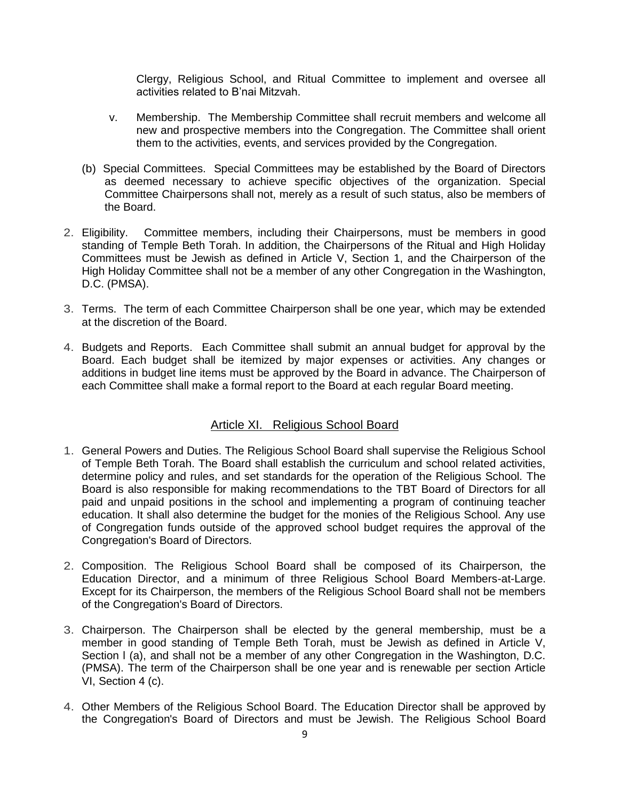Clergy, Religious School, and Ritual Committee to implement and oversee all activities related to B'nai Mitzvah.

- v. Membership. The Membership Committee shall recruit members and welcome all new and prospective members into the Congregation. The Committee shall orient them to the activities, events, and services provided by the Congregation.
- (b) Special Committees. Special Committees may be established by the Board of Directors as deemed necessary to achieve specific objectives of the organization. Special Committee Chairpersons shall not, merely as a result of such status, also be members of the Board.
- 2. Eligibility. Committee members, including their Chairpersons, must be members in good standing of Temple Beth Torah. In addition, the Chairpersons of the Ritual and High Holiday Committees must be Jewish as defined in Article V, Section 1, and the Chairperson of the High Holiday Committee shall not be a member of any other Congregation in the Washington, D.C. (PMSA).
- 3. Terms. The term of each Committee Chairperson shall be one year, which may be extended at the discretion of the Board.
- 4. Budgets and Reports. Each Committee shall submit an annual budget for approval by the Board. Each budget shall be itemized by major expenses or activities. Any changes or additions in budget line items must be approved by the Board in advance. The Chairperson of each Committee shall make a formal report to the Board at each regular Board meeting.

### Article XI. Religious School Board

- 1. General Powers and Duties. The Religious School Board shall supervise the Religious School of Temple Beth Torah. The Board shall establish the curriculum and school related activities, determine policy and rules, and set standards for the operation of the Religious School. The Board is also responsible for making recommendations to the TBT Board of Directors for all paid and unpaid positions in the school and implementing a program of continuing teacher education. It shall also determine the budget for the monies of the Religious School. Any use of Congregation funds outside of the approved school budget requires the approval of the Congregation's Board of Directors.
- 2. Composition. The Religious School Board shall be composed of its Chairperson, the Education Director, and a minimum of three Religious School Board Members-at-Large. Except for its Chairperson, the members of the Religious School Board shall not be members of the Congregation's Board of Directors.
- 3. Chairperson. The Chairperson shall be elected by the general membership, must be a member in good standing of Temple Beth Torah, must be Jewish as defined in Article V, Section I (a), and shall not be a member of any other Congregation in the Washington, D.C. (PMSA). The term of the Chairperson shall be one year and is renewable per section Article VI, Section 4 (c).
- 4. Other Members of the Religious School Board. The Education Director shall be approved by the Congregation's Board of Directors and must be Jewish. The Religious School Board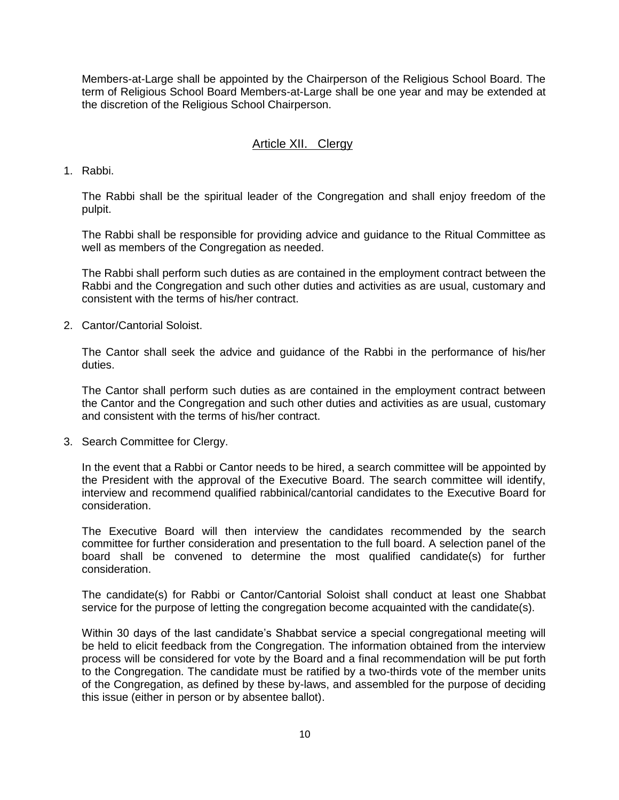Members-at-Large shall be appointed by the Chairperson of the Religious School Board. The term of Religious School Board Members-at-Large shall be one year and may be extended at the discretion of the Religious School Chairperson.

## Article XII. Clergy

1. Rabbi.

The Rabbi shall be the spiritual leader of the Congregation and shall enjoy freedom of the pulpit.

The Rabbi shall be responsible for providing advice and guidance to the Ritual Committee as well as members of the Congregation as needed.

The Rabbi shall perform such duties as are contained in the employment contract between the Rabbi and the Congregation and such other duties and activities as are usual, customary and consistent with the terms of his/her contract.

2. Cantor/Cantorial Soloist.

The Cantor shall seek the advice and guidance of the Rabbi in the performance of his/her duties.

The Cantor shall perform such duties as are contained in the employment contract between the Cantor and the Congregation and such other duties and activities as are usual, customary and consistent with the terms of his/her contract.

3. Search Committee for Clergy.

In the event that a Rabbi or Cantor needs to be hired, a search committee will be appointed by the President with the approval of the Executive Board. The search committee will identify, interview and recommend qualified rabbinical/cantorial candidates to the Executive Board for consideration.

The Executive Board will then interview the candidates recommended by the search committee for further consideration and presentation to the full board. A selection panel of the board shall be convened to determine the most qualified candidate(s) for further consideration.

The candidate(s) for Rabbi or Cantor/Cantorial Soloist shall conduct at least one Shabbat service for the purpose of letting the congregation become acquainted with the candidate(s).

Within 30 days of the last candidate's Shabbat service a special congregational meeting will be held to elicit feedback from the Congregation. The information obtained from the interview process will be considered for vote by the Board and a final recommendation will be put forth to the Congregation. The candidate must be ratified by a two-thirds vote of the member units of the Congregation, as defined by these by-laws, and assembled for the purpose of deciding this issue (either in person or by absentee ballot).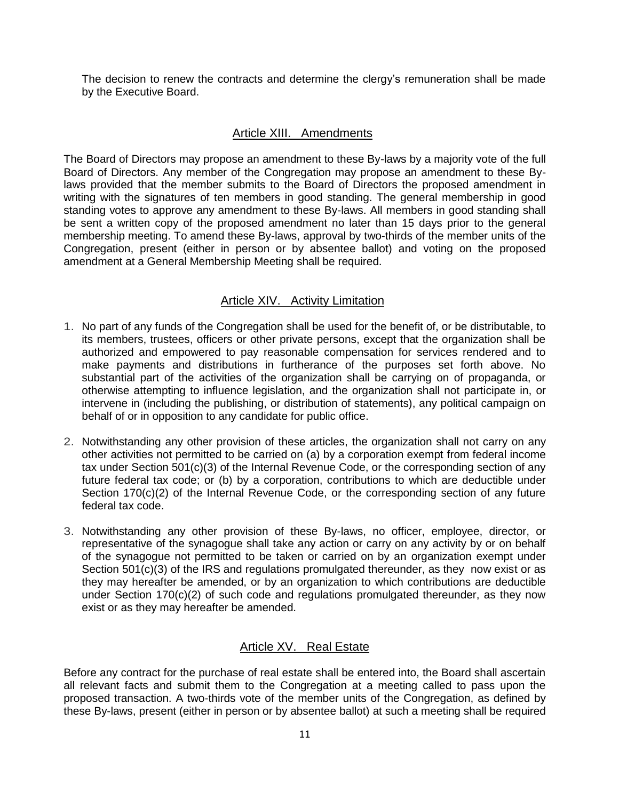The decision to renew the contracts and determine the clergy's remuneration shall be made by the Executive Board.

#### Article XIII. Amendments

The Board of Directors may propose an amendment to these By-laws by a majority vote of the full Board of Directors. Any member of the Congregation may propose an amendment to these Bylaws provided that the member submits to the Board of Directors the proposed amendment in writing with the signatures of ten members in good standing. The general membership in good standing votes to approve any amendment to these By-laws. All members in good standing shall be sent a written copy of the proposed amendment no later than 15 days prior to the general membership meeting. To amend these By-laws, approval by two-thirds of the member units of the Congregation, present (either in person or by absentee ballot) and voting on the proposed amendment at a General Membership Meeting shall be required.

#### Article XIV. Activity Limitation

- 1. No part of any funds of the Congregation shall be used for the benefit of, or be distributable, to its members, trustees, officers or other private persons, except that the organization shall be authorized and empowered to pay reasonable compensation for services rendered and to make payments and distributions in furtherance of the purposes set forth above. No substantial part of the activities of the organization shall be carrying on of propaganda, or otherwise attempting to influence legislation, and the organization shall not participate in, or intervene in (including the publishing, or distribution of statements), any political campaign on behalf of or in opposition to any candidate for public office.
- 2. Notwithstanding any other provision of these articles, the organization shall not carry on any other activities not permitted to be carried on (a) by a corporation exempt from federal income tax under Section 501(c)(3) of the Internal Revenue Code, or the corresponding section of any future federal tax code; or (b) by a corporation, contributions to which are deductible under Section 170(c)(2) of the Internal Revenue Code, or the corresponding section of any future federal tax code.
- 3. Notwithstanding any other provision of these By-laws, no officer, employee, director, or representative of the synagogue shall take any action or carry on any activity by or on behalf of the synagogue not permitted to be taken or carried on by an organization exempt under Section 501(c)(3) of the IRS and regulations promulgated thereunder, as they now exist or as they may hereafter be amended, or by an organization to which contributions are deductible under Section 170(c)(2) of such code and regulations promulgated thereunder, as they now exist or as they may hereafter be amended.

### Article XV. Real Estate

Before any contract for the purchase of real estate shall be entered into, the Board shall ascertain all relevant facts and submit them to the Congregation at a meeting called to pass upon the proposed transaction. A two-thirds vote of the member units of the Congregation, as defined by these By-laws, present (either in person or by absentee ballot) at such a meeting shall be required